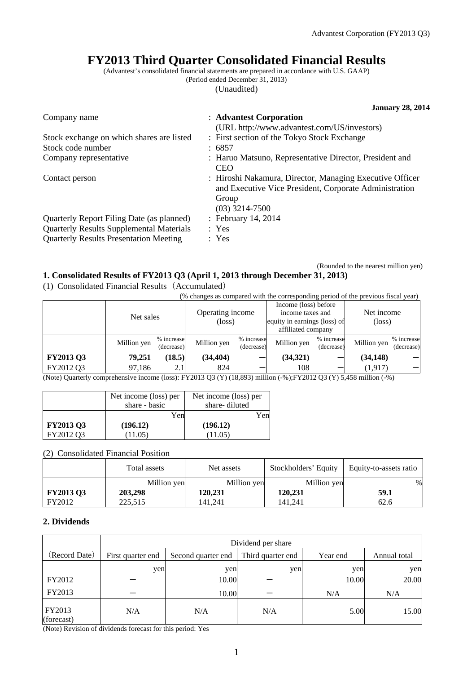# **FY2013 Third Quarter Consolidated Financial Results**

(Advantest's consolidated financial statements are prepared in accordance with U.S. GAAP) (Period ended December 31, 2013)

(Unaudited)

**January 28, 2014**  Company name : **Advantest Corporation** (URL http://www.advantest.com/US/investors) Stock exchange on which shares are listed : First section of the Tokyo Stock Exchange Stock code number : 6857 Company representative : Haruo Matsuno, Representative Director, President and CEO Contact person : Hiroshi Nakamura, Director, Managing Executive Officer and Executive Vice President, Corporate Administration Group (03) 3214-7500 Quarterly Report Filing Date (as planned) : February 14, 2014 Quarterly Results Supplemental Materials : Yes Quarterly Results Presentation Meeting : Yes

### (Rounded to the nearest million yen)

## **1. Consolidated Results of FY2013 Q3 (April 1, 2013 through December 31, 2013)**

(1) Consolidated Financial Results(Accumulated)

(% changes as compared with the corresponding period of the previous fiscal year)

|                                                                                                                      | Net sales   |                          | Operating income<br>$(\text{loss})$ |                          | Income (loss) before<br>income taxes and<br>equity in earnings (loss) of<br>affiliated company |                          | Net income<br>$(\text{loss})$ |                          |
|----------------------------------------------------------------------------------------------------------------------|-------------|--------------------------|-------------------------------------|--------------------------|------------------------------------------------------------------------------------------------|--------------------------|-------------------------------|--------------------------|
|                                                                                                                      | Million yen | % increase<br>(decrease) | Million yen                         | % increase<br>(decrease) | Million yen                                                                                    | % increase<br>(decrease) | Million yen                   | % increase<br>(decrease) |
| <b>FY2013 Q3</b>                                                                                                     | 79,251      | (18.5)                   | (34, 404)                           |                          | (34, 321)                                                                                      |                          | (34, 148)                     |                          |
| FY2012 Q3                                                                                                            | 97.186      | 2.1                      | 824                                 |                          | 108                                                                                            |                          | (1,917)                       |                          |
| (Note) Overteily compushensive income (loss), EV2012 O2 (V) (10,002) million ( 0/) EV2012 O2 (V) 5,450 million ( 0/) |             |                          |                                     |                          |                                                                                                |                          |                               |                          |

(Note) Quarterly comprehensive income (loss): FY2013 Q3 (Y) (18,893) million (-%);FY2012 Q3 (Y) 5,458 million (-%)

|                  | Net income (loss) per | Net income (loss) per |
|------------------|-----------------------|-----------------------|
|                  | share - basic         | share-diluted         |
|                  | Yen                   | Yen                   |
| <b>FY2013 Q3</b> | (196.12)              | (196.12)              |
| FY2012 Q3        | 11.05)                | (11.05)               |

(2) Consolidated Financial Position

|                  | Total assets | Net assets  | Stockholders' Equity | Equity-to-assets ratio |
|------------------|--------------|-------------|----------------------|------------------------|
|                  | Million yen  | Million yen | Million yen          | $\%$                   |
| <b>FY2013 Q3</b> | 203,298      | 120,231     | 120.231              | 59.1                   |
| FY2012           | 225.515      | 141.241     | 141.241              | 62.6                   |

### **2. Dividends**

|                      | Dividend per share |                    |                   |          |              |  |  |
|----------------------|--------------------|--------------------|-------------------|----------|--------------|--|--|
| (Record Date)        | First quarter end  | Second quarter end | Third quarter end | Year end | Annual total |  |  |
|                      | yen                | yen                | yen               | yen      | yen          |  |  |
| FY2012               |                    | 10.00              |                   | 10.00    | 20.00        |  |  |
| FY2013               |                    | 10.00              |                   | N/A      | N/A          |  |  |
| FY2013<br>(forecast) | N/A                | N/A                | N/A               | 5.00     | 15.00        |  |  |

(Note) Revision of dividends forecast for this period: Yes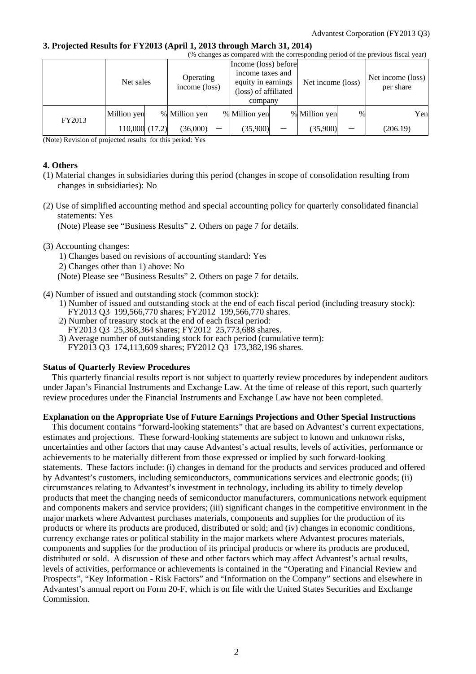### **3. Projected Results for FY2013 (April 1, 2013 through March 31, 2014)**

| (% changes as compared with the corresponding period of the previous fiscal year) |               |  |                            |                                                                                                   |               |                   |               |                                |          |
|-----------------------------------------------------------------------------------|---------------|--|----------------------------|---------------------------------------------------------------------------------------------------|---------------|-------------------|---------------|--------------------------------|----------|
|                                                                                   | Net sales     |  | Operating<br>income (loss) | Income (loss) before<br>income taxes and<br>equity in earnings<br>(loss) of affiliated<br>company |               | Net income (loss) |               | Net income (loss)<br>per share |          |
| FY2013                                                                            | Million yen   |  | % Million yen              |                                                                                                   | % Million yen |                   | % Million yen | $\frac{0}{0}$                  | Yen      |
|                                                                                   | 110,000(17.2) |  | (36,000)                   |                                                                                                   | (35,900)      |                   | (35,900)      |                                | (206.19) |

(Note) Revision of projected results for this period: Yes

#### **4. Others**

- (1) Material changes in subsidiaries during this period (changes in scope of consolidation resulting from changes in subsidiaries): No
- (2) Use of simplified accounting method and special accounting policy for quarterly consolidated financial statements: Yes

(Note) Please see "Business Results" 2. Others on page 7 for details.

#### (3) Accounting changes:

1) Changes based on revisions of accounting standard: Yes

2) Changes other than 1) above: No

(Note) Please see "Business Results" 2. Others on page 7 for details.

- (4) Number of issued and outstanding stock (common stock):
	- 1) Number of issued and outstanding stock at the end of each fiscal period (including treasury stock):
	- FY2013 Q3 199,566,770 shares; FY2012 199,566,770 shares. 2) Number of treasury stock at the end of each fiscal period:
	- FY2013 Q3 25,368,364 shares; FY2012 25,773,688 shares.
	- 3) Average number of outstanding stock for each period (cumulative term): FY2013 Q3 174,113,609 shares; FY2012 Q3 173,382,196 shares.

#### **Status of Quarterly Review Procedures**

This quarterly financial results report is not subject to quarterly review procedures by independent auditors under Japan's Financial Instruments and Exchange Law. At the time of release of this report, such quarterly review procedures under the Financial Instruments and Exchange Law have not been completed.

### **Explanation on the Appropriate Use of Future Earnings Projections and Other Special Instructions**

This document contains "forward-looking statements" that are based on Advantest's current expectations, estimates and projections. These forward-looking statements are subject to known and unknown risks, uncertainties and other factors that may cause Advantest's actual results, levels of activities, performance or achievements to be materially different from those expressed or implied by such forward-looking statements. These factors include: (i) changes in demand for the products and services produced and offered by Advantest's customers, including semiconductors, communications services and electronic goods; (ii) circumstances relating to Advantest's investment in technology, including its ability to timely develop products that meet the changing needs of semiconductor manufacturers, communications network equipment and components makers and service providers; (iii) significant changes in the competitive environment in the major markets where Advantest purchases materials, components and supplies for the production of its products or where its products are produced, distributed or sold; and (iv) changes in economic conditions, currency exchange rates or political stability in the major markets where Advantest procures materials, components and supplies for the production of its principal products or where its products are produced, distributed or sold. A discussion of these and other factors which may affect Advantest's actual results, levels of activities, performance or achievements is contained in the "Operating and Financial Review and Prospects", "Key Information - Risk Factors" and "Information on the Company" sections and elsewhere in Advantest's annual report on Form 20-F, which is on file with the United States Securities and Exchange Commission.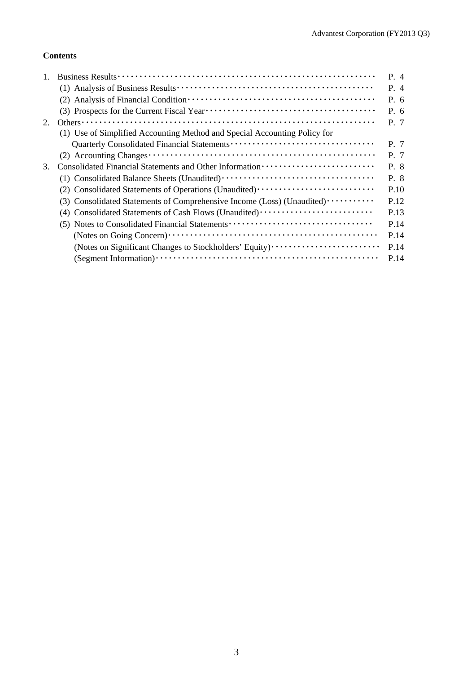## **Contents**

|    |                                                                                  | P. 4  |
|----|----------------------------------------------------------------------------------|-------|
|    |                                                                                  | $P_4$ |
|    |                                                                                  | P. 6  |
|    |                                                                                  | P. 6  |
| 2. | Others $\cdots$                                                                  | P. 7  |
|    | (1) Use of Simplified Accounting Method and Special Accounting Policy for        |       |
|    |                                                                                  | P. 7  |
|    |                                                                                  | P. 7  |
| 3. |                                                                                  | P. 8  |
|    |                                                                                  | P. 8  |
|    | (2) Consolidated Statements of Operations (Unaudited) ·························· | P.10  |
|    | (3) Consolidated Statements of Comprehensive Income (Loss) (Unaudited)           | P.12  |
|    | Consolidated Statements of Cash Flows (Unaudited) ······························ | P.13  |
|    | (5) Notes to Consolidated Financial Statements                                   | P.14  |
|    |                                                                                  | P.14  |
|    | (Notes on Significant Changes to Stockholders' Equity)                           | P.14  |
|    |                                                                                  | P.14  |
|    |                                                                                  |       |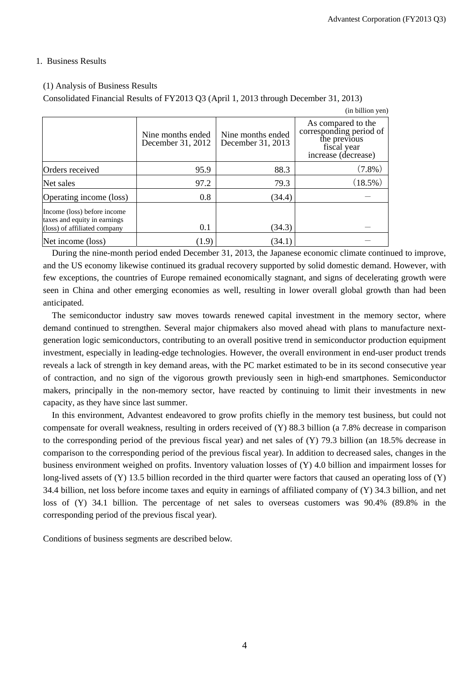### 1. Business Results

### (1) Analysis of Business Results

Consolidated Financial Results of FY2013 Q3 (April 1, 2013 through December 31, 2013)

|                                                                                             |                                        |                                        | (in billion yen)                                                                                    |
|---------------------------------------------------------------------------------------------|----------------------------------------|----------------------------------------|-----------------------------------------------------------------------------------------------------|
|                                                                                             | Nine months ended<br>December 31, 2012 | Nine months ended<br>December 31, 2013 | As compared to the<br>corresponding period of<br>the previous<br>fiscal year<br>increase (decrease) |
| Orders received                                                                             | 95.9                                   | 88.3                                   | $(7.8\%)$                                                                                           |
| Net sales                                                                                   | 97.2                                   | 79.3                                   | $(18.5\%)$                                                                                          |
| Operating income (loss)                                                                     | 0.8                                    | (34.4)                                 |                                                                                                     |
| Income (loss) before income<br>taxes and equity in earnings<br>(loss) of affiliated company | 0.1                                    | (34.3)                                 |                                                                                                     |
| Net income (loss)                                                                           | (1.9)                                  | (34.1)                                 |                                                                                                     |

During the nine-month period ended December 31, 2013, the Japanese economic climate continued to improve, and the US economy likewise continued its gradual recovery supported by solid domestic demand. However, with few exceptions, the countries of Europe remained economically stagnant, and signs of decelerating growth were seen in China and other emerging economies as well, resulting in lower overall global growth than had been anticipated.

The semiconductor industry saw moves towards renewed capital investment in the memory sector, where demand continued to strengthen. Several major chipmakers also moved ahead with plans to manufacture nextgeneration logic semiconductors, contributing to an overall positive trend in semiconductor production equipment investment, especially in leading-edge technologies. However, the overall environment in end-user product trends reveals a lack of strength in key demand areas, with the PC market estimated to be in its second consecutive year of contraction, and no sign of the vigorous growth previously seen in high-end smartphones. Semiconductor makers, principally in the non-memory sector, have reacted by continuing to limit their investments in new capacity, as they have since last summer.

In this environment, Advantest endeavored to grow profits chiefly in the memory test business, but could not compensate for overall weakness, resulting in orders received of (Y) 88.3 billion (a 7.8% decrease in comparison to the corresponding period of the previous fiscal year) and net sales of (Y) 79.3 billion (an 18.5% decrease in comparison to the corresponding period of the previous fiscal year). In addition to decreased sales, changes in the business environment weighed on profits. Inventory valuation losses of (Y) 4.0 billion and impairment losses for long-lived assets of (Y) 13.5 billion recorded in the third quarter were factors that caused an operating loss of (Y) 34.4 billion, net loss before income taxes and equity in earnings of affiliated company of (Y) 34.3 billion, and net loss of (Y) 34.1 billion. The percentage of net sales to overseas customers was 90.4% (89.8% in the corresponding period of the previous fiscal year).

Conditions of business segments are described below.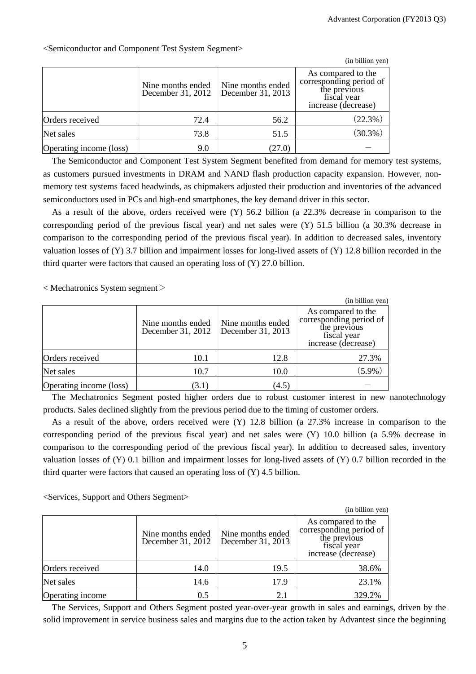$\alpha$  billion  $\alpha$ 

|                         |                                        |                                        | (in billion yen)                                                                                    |
|-------------------------|----------------------------------------|----------------------------------------|-----------------------------------------------------------------------------------------------------|
|                         | Nine months ended<br>December 31, 2012 | Nine months ended<br>December 31, 2013 | As compared to the<br>corresponding period of<br>the previous<br>fiscal year<br>increase (decrease) |
| Orders received         | 72.4                                   | 56.2                                   | $(22.3\%)$                                                                                          |
| Net sales               | 73.8                                   | 51.5                                   | $(30.3\%)$                                                                                          |
| Operating income (loss) | 9.0                                    | 27.0)                                  |                                                                                                     |

<Semiconductor and Component Test System Segment>

The Semiconductor and Component Test System Segment benefited from demand for memory test systems, as customers pursued investments in DRAM and NAND flash production capacity expansion. However, nonmemory test systems faced headwinds, as chipmakers adjusted their production and inventories of the advanced semiconductors used in PCs and high-end smartphones, the key demand driver in this sector.

As a result of the above, orders received were (Y) 56.2 billion (a 22.3% decrease in comparison to the corresponding period of the previous fiscal year) and net sales were (Y) 51.5 billion (a 30.3% decrease in comparison to the corresponding period of the previous fiscal year). In addition to decreased sales, inventory valuation losses of (Y) 3.7 billion and impairment losses for long-lived assets of (Y) 12.8 billion recorded in the third quarter were factors that caused an operating loss of (Y) 27.0 billion.

 $<$  Mechatronics System segment $>$ 

|                         |                                        |                                        | (in billion yen)                                                                                    |
|-------------------------|----------------------------------------|----------------------------------------|-----------------------------------------------------------------------------------------------------|
|                         | Nine months ended<br>December 31, 2012 | Nine months ended<br>December 31, 2013 | As compared to the<br>corresponding period of<br>the previous<br>fiscal year<br>increase (decrease) |
| Orders received         | 10.1                                   | 12.8                                   | 27.3%                                                                                               |
| Net sales               | 10.7                                   | 10.0                                   | $(5.9\%)$                                                                                           |
| Operating income (loss) | (3.1)                                  | (4.5)                                  |                                                                                                     |

The Mechatronics Segment posted higher orders due to robust customer interest in new nanotechnology products. Sales declined slightly from the previous period due to the timing of customer orders.

As a result of the above, orders received were (Y) 12.8 billion (a 27.3% increase in comparison to the corresponding period of the previous fiscal year) and net sales were (Y) 10.0 billion (a 5.9% decrease in comparison to the corresponding period of the previous fiscal year). In addition to decreased sales, inventory valuation losses of (Y) 0.1 billion and impairment losses for long-lived assets of (Y) 0.7 billion recorded in the third quarter were factors that caused an operating loss of (Y) 4.5 billion.

<Services, Support and Others Segment>

|                  |                                        |                                        | $(in  b1II$ on $ven)$                                                                               |
|------------------|----------------------------------------|----------------------------------------|-----------------------------------------------------------------------------------------------------|
|                  | Nine months ended<br>December 31, 2012 | Nine months ended<br>December 31, 2013 | As compared to the<br>corresponding period of<br>the previous<br>fiscal year<br>increase (decrease) |
| Orders received  | 14.0                                   | 19.5                                   | 38.6%                                                                                               |
| Net sales        | 14.6                                   | 17.9                                   | 23.1%                                                                                               |
| Operating income | 0.5                                    | 2.1                                    | 329.2%                                                                                              |

The Services, Support and Others Segment posted year-over-year growth in sales and earnings, driven by the solid improvement in service business sales and margins due to the action taken by Advantest since the beginning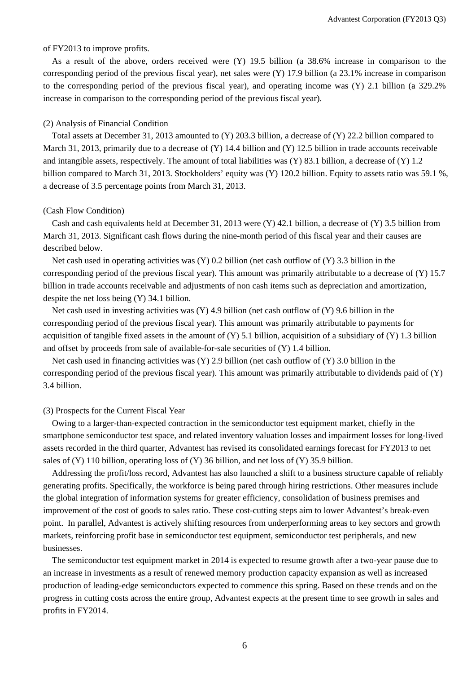#### of FY2013 to improve profits.

As a result of the above, orders received were (Y) 19.5 billion (a 38.6% increase in comparison to the corresponding period of the previous fiscal year), net sales were (Y) 17.9 billion (a 23.1% increase in comparison to the corresponding period of the previous fiscal year), and operating income was (Y) 2.1 billion (a 329.2% increase in comparison to the corresponding period of the previous fiscal year).

#### (2) Analysis of Financial Condition

Total assets at December 31, 2013 amounted to (Y) 203.3 billion, a decrease of (Y) 22.2 billion compared to March 31, 2013, primarily due to a decrease of (Y) 14.4 billion and (Y) 12.5 billion in trade accounts receivable and intangible assets, respectively. The amount of total liabilities was (Y) 83.1 billion, a decrease of (Y) 1.2 billion compared to March 31, 2013. Stockholders' equity was (Y) 120.2 billion. Equity to assets ratio was 59.1 %, a decrease of 3.5 percentage points from March 31, 2013.

#### (Cash Flow Condition)

Cash and cash equivalents held at December 31, 2013 were (Y) 42.1 billion, a decrease of (Y) 3.5 billion from March 31, 2013. Significant cash flows during the nine-month period of this fiscal year and their causes are described below.

Net cash used in operating activities was  $(Y)$  0.2 billion (net cash outflow of  $(Y)$  3.3 billion in the corresponding period of the previous fiscal year). This amount was primarily attributable to a decrease of (Y) 15.7 billion in trade accounts receivable and adjustments of non cash items such as depreciation and amortization, despite the net loss being (Y) 34.1 billion.

Net cash used in investing activities was (Y) 4.9 billion (net cash outflow of (Y) 9.6 billion in the corresponding period of the previous fiscal year). This amount was primarily attributable to payments for acquisition of tangible fixed assets in the amount of  $(Y)$  5.1 billion, acquisition of a subsidiary of  $(Y)$  1.3 billion and offset by proceeds from sale of available-for-sale securities of  $(Y)$  1.4 billion.

Net cash used in financing activities was  $(Y)$  2.9 billion (net cash outflow of  $(Y)$  3.0 billion in the corresponding period of the previous fiscal year). This amount was primarily attributable to dividends paid of (Y) 3.4 billion.

#### (3) Prospects for the Current Fiscal Year

Owing to a larger-than-expected contraction in the semiconductor test equipment market, chiefly in the smartphone semiconductor test space, and related inventory valuation losses and impairment losses for long-lived assets recorded in the third quarter, Advantest has revised its consolidated earnings forecast for FY2013 to net sales of  $(Y)$  110 billion, operating loss of  $(Y)$  36 billion, and net loss of  $(Y)$  35.9 billion.

Addressing the profit/loss record, Advantest has also launched a shift to a business structure capable of reliably generating profits. Specifically, the workforce is being pared through hiring restrictions. Other measures include the global integration of information systems for greater efficiency, consolidation of business premises and improvement of the cost of goods to sales ratio. These cost-cutting steps aim to lower Advantest's break-even point. In parallel, Advantest is actively shifting resources from underperforming areas to key sectors and growth markets, reinforcing profit base in semiconductor test equipment, semiconductor test peripherals, and new businesses.

The semiconductor test equipment market in 2014 is expected to resume growth after a two-year pause due to an increase in investments as a result of renewed memory production capacity expansion as well as increased production of leading-edge semiconductors expected to commence this spring. Based on these trends and on the progress in cutting costs across the entire group, Advantest expects at the present time to see growth in sales and profits in FY2014.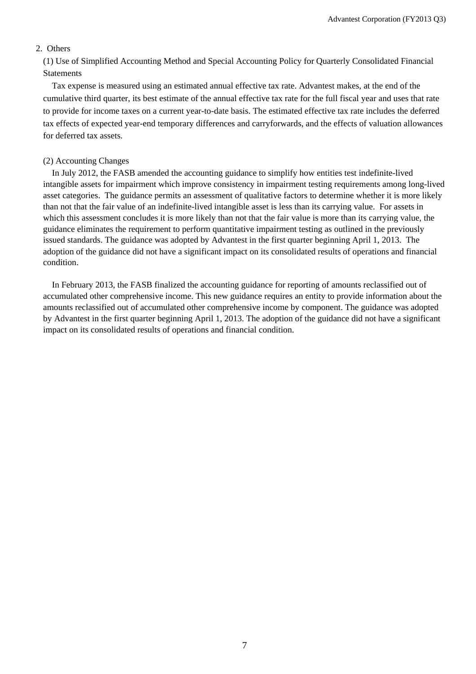### 2. Others

(1) Use of Simplified Accounting Method and Special Accounting Policy for Quarterly Consolidated Financial Statements

Tax expense is measured using an estimated annual effective tax rate. Advantest makes, at the end of the cumulative third quarter, its best estimate of the annual effective tax rate for the full fiscal year and uses that rate to provide for income taxes on a current year-to-date basis. The estimated effective tax rate includes the deferred tax effects of expected year-end temporary differences and carryforwards, and the effects of valuation allowances for deferred tax assets.

#### (2) Accounting Changes

In July 2012, the FASB amended the accounting guidance to simplify how entities test indefinite-lived intangible assets for impairment which improve consistency in impairment testing requirements among long-lived asset categories. The guidance permits an assessment of qualitative factors to determine whether it is more likely than not that the fair value of an indefinite-lived intangible asset is less than its carrying value. For assets in which this assessment concludes it is more likely than not that the fair value is more than its carrying value, the guidance eliminates the requirement to perform quantitative impairment testing as outlined in the previously issued standards. The guidance was adopted by Advantest in the first quarter beginning April 1, 2013. The adoption of the guidance did not have a significant impact on its consolidated results of operations and financial condition.

In February 2013, the FASB finalized the accounting guidance for reporting of amounts reclassified out of accumulated other comprehensive income. This new guidance requires an entity to provide information about the amounts reclassified out of accumulated other comprehensive income by component. The guidance was adopted by Advantest in the first quarter beginning April 1, 2013. The adoption of the guidance did not have a significant impact on its consolidated results of operations and financial condition.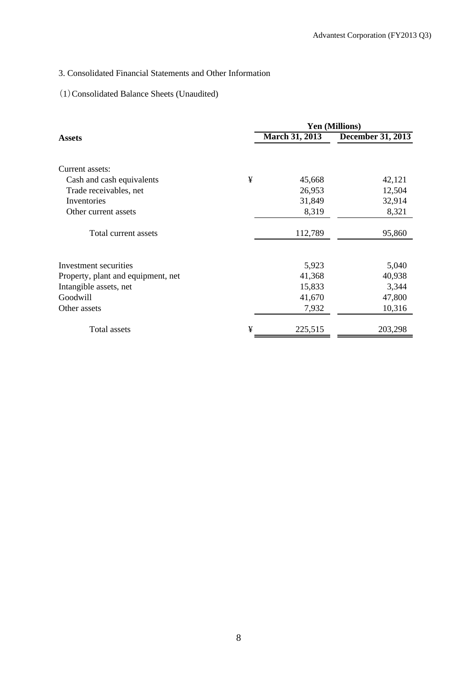## 3. Consolidated Financial Statements and Other Information

## (1)Consolidated Balance Sheets (Unaudited)

|                                    |   |                       | <b>Yen (Millions)</b>    |
|------------------------------------|---|-----------------------|--------------------------|
| <b>Assets</b>                      |   | <b>March 31, 2013</b> | <b>December 31, 2013</b> |
| Current assets:                    |   |                       |                          |
| Cash and cash equivalents          | ¥ | 45,668                | 42,121                   |
| Trade receivables, net             |   | 26,953                | 12,504                   |
| Inventories                        |   | 31,849                | 32,914                   |
| Other current assets               |   | 8,319                 | 8,321                    |
| Total current assets               |   | 112,789               | 95,860                   |
| Investment securities              |   | 5,923                 | 5,040                    |
| Property, plant and equipment, net |   | 41,368                | 40,938                   |
| Intangible assets, net             |   | 15,833                | 3,344                    |
| Goodwill                           |   | 41,670                | 47,800                   |
| Other assets                       |   | 7,932                 | 10,316                   |
| Total assets                       | ¥ | 225,515               | 203,298                  |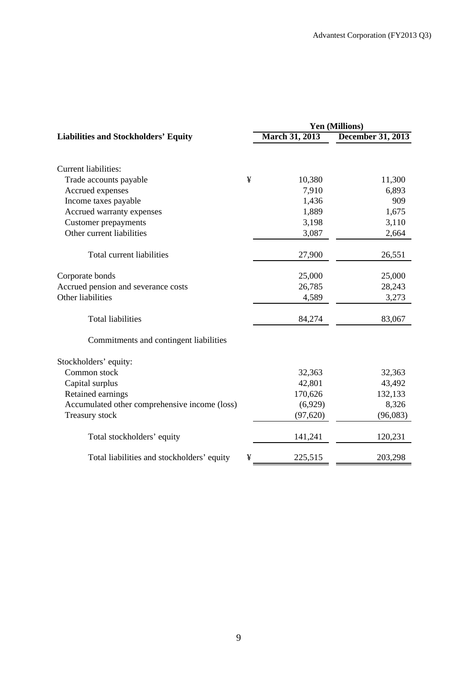|                                                 | <b>Yen (Millions)</b> |                   |  |  |
|-------------------------------------------------|-----------------------|-------------------|--|--|
| <b>Liabilities and Stockholders' Equity</b>     | <b>March 31, 2013</b> | December 31, 2013 |  |  |
| <b>Current liabilities:</b>                     |                       |                   |  |  |
| ¥                                               | 10,380                | 11,300            |  |  |
| Trade accounts payable                          | 7,910                 | 6,893             |  |  |
| Accrued expenses<br>Income taxes payable        | 1,436                 | 909               |  |  |
| Accrued warranty expenses                       | 1,889                 | 1,675             |  |  |
| <b>Customer</b> prepayments                     | 3,198                 | 3,110             |  |  |
| Other current liabilities                       | 3,087                 | 2,664             |  |  |
|                                                 |                       |                   |  |  |
| Total current liabilities                       | 27,900                | 26,551            |  |  |
| Corporate bonds                                 | 25,000                | 25,000            |  |  |
| Accrued pension and severance costs             | 26,785                | 28,243            |  |  |
| Other liabilities                               | 4,589                 | 3,273             |  |  |
| <b>Total liabilities</b>                        | 84,274                | 83,067            |  |  |
| Commitments and contingent liabilities          |                       |                   |  |  |
| Stockholders' equity:                           |                       |                   |  |  |
| Common stock                                    | 32,363                | 32,363            |  |  |
| Capital surplus                                 | 42,801                | 43,492            |  |  |
| Retained earnings                               | 170,626               | 132,133           |  |  |
| Accumulated other comprehensive income (loss)   | (6,929)               | 8,326             |  |  |
| Treasury stock                                  | (97, 620)             | (96,083)          |  |  |
| Total stockholders' equity                      | 141,241               | 120,231           |  |  |
| Total liabilities and stockholders' equity<br>¥ | 225,515               | 203,298           |  |  |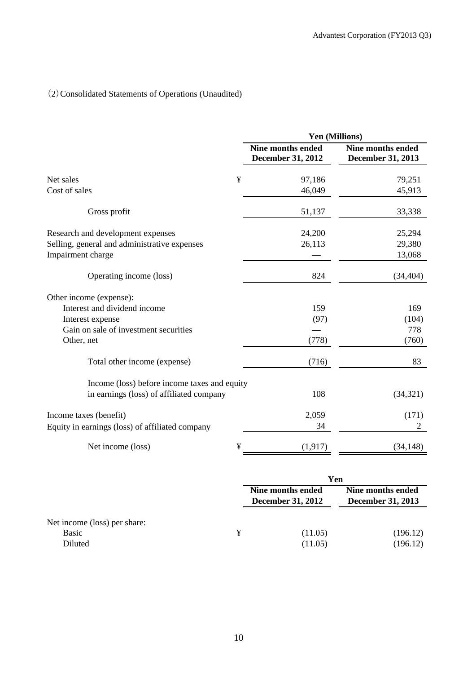# (2)Consolidated Statements of Operations (Unaudited)

|                                                 | Yen (Millions)                                       |                                               |
|-------------------------------------------------|------------------------------------------------------|-----------------------------------------------|
|                                                 | <b>Nine months ended</b><br><b>December 31, 2012</b> | <b>Nine months ended</b><br>December 31, 2013 |
| ¥<br>Net sales                                  | 97,186                                               | 79,251                                        |
| Cost of sales                                   | 46,049                                               | 45,913                                        |
| Gross profit                                    | 51,137                                               | 33,338                                        |
| Research and development expenses               | 24,200                                               | 25,294                                        |
| Selling, general and administrative expenses    | 26,113                                               | 29,380                                        |
| Impairment charge                               |                                                      | 13,068                                        |
| Operating income (loss)                         | 824                                                  | (34, 404)                                     |
| Other income (expense):                         |                                                      |                                               |
| Interest and dividend income                    | 159                                                  | 169                                           |
| Interest expense                                | (97)                                                 | (104)                                         |
| Gain on sale of investment securities           |                                                      | 778                                           |
| Other, net                                      | (778)                                                | (760)                                         |
| Total other income (expense)                    | (716)                                                | 83                                            |
| Income (loss) before income taxes and equity    |                                                      |                                               |
| in earnings (loss) of affiliated company        | 108                                                  | (34, 321)                                     |
| Income taxes (benefit)                          | 2,059                                                | (171)                                         |
| Equity in earnings (loss) of affiliated company | 34                                                   | 2                                             |
| Net income (loss)<br>¥                          | (1, 917)                                             | (34, 148)                                     |

|                                                         |   | Yen                                           |                                               |  |
|---------------------------------------------------------|---|-----------------------------------------------|-----------------------------------------------|--|
|                                                         |   | Nine months ended<br><b>December 31, 2012</b> | Nine months ended<br><b>December 31, 2013</b> |  |
| Net income (loss) per share:<br><b>Basic</b><br>Diluted | ¥ | (11.05)<br>(11.05)                            | (196.12)<br>(196.12)                          |  |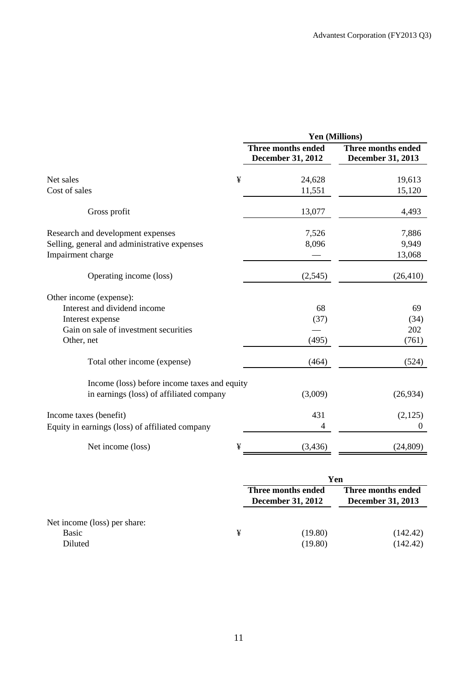|                                                 | Yen (Millions)                                        |                                         |  |  |
|-------------------------------------------------|-------------------------------------------------------|-----------------------------------------|--|--|
|                                                 | <b>Three months ended</b><br><b>December 31, 2012</b> | Three months ended<br>December 31, 2013 |  |  |
| ¥<br>Net sales                                  | 24,628                                                | 19,613                                  |  |  |
| Cost of sales                                   | 11,551                                                | 15,120                                  |  |  |
| Gross profit                                    | 13,077                                                | 4,493                                   |  |  |
| Research and development expenses               | 7,526                                                 | 7,886                                   |  |  |
| Selling, general and administrative expenses    | 8,096                                                 | 9,949                                   |  |  |
| Impairment charge                               |                                                       | 13,068                                  |  |  |
| Operating income (loss)                         | (2,545)                                               | (26, 410)                               |  |  |
| Other income (expense):                         |                                                       |                                         |  |  |
| Interest and dividend income                    | 68                                                    | 69                                      |  |  |
| Interest expense                                | (37)                                                  | (34)                                    |  |  |
| Gain on sale of investment securities           |                                                       | 202                                     |  |  |
| Other, net                                      | (495)                                                 | (761)                                   |  |  |
| Total other income (expense)                    | (464)                                                 | (524)                                   |  |  |
| Income (loss) before income taxes and equity    |                                                       |                                         |  |  |
| in earnings (loss) of affiliated company        | (3,009)                                               | (26,934)                                |  |  |
| Income taxes (benefit)                          | 431                                                   | (2,125)                                 |  |  |
| Equity in earnings (loss) of affiliated company | 4                                                     | $\boldsymbol{0}$                        |  |  |
| Net income (loss)<br>¥                          | (3, 436)                                              | (24, 809)                               |  |  |

|                                                  |   | Yen                                            |                                                |  |
|--------------------------------------------------|---|------------------------------------------------|------------------------------------------------|--|
|                                                  |   | Three months ended<br><b>December 31, 2012</b> | Three months ended<br><b>December 31, 2013</b> |  |
| Net income (loss) per share:<br>Basic<br>Diluted | ¥ | (19.80)<br>(19.80)                             | (142.42)<br>(142.42)                           |  |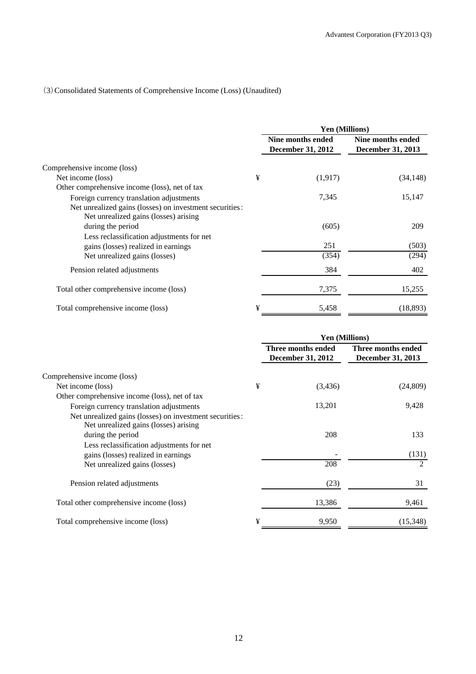## (3)Consolidated Statements of Comprehensive Income (Loss) (Unaudited)

|                                                                                                  |   | <b>Yen (Millions)</b>                         |                                        |  |
|--------------------------------------------------------------------------------------------------|---|-----------------------------------------------|----------------------------------------|--|
|                                                                                                  |   | Nine months ended<br><b>December 31, 2012</b> | Nine months ended<br>December 31, 2013 |  |
| Comprehensive income (loss)                                                                      |   |                                               |                                        |  |
| Net income (loss)                                                                                | ¥ | (1,917)                                       | (34, 148)                              |  |
| Other comprehensive income (loss), net of tax                                                    |   |                                               |                                        |  |
| Foreign currency translation adjustments                                                         |   | 7,345                                         | 15,147                                 |  |
| Net unrealized gains (losses) on investment securities:<br>Net unrealized gains (losses) arising |   |                                               |                                        |  |
| during the period                                                                                |   | (605)                                         | 209                                    |  |
| Less reclassification adjustments for net                                                        |   |                                               |                                        |  |
| gains (losses) realized in earnings                                                              |   | 251                                           | (503)                                  |  |
| Net unrealized gains (losses)                                                                    |   | (354)                                         | (294)                                  |  |
| Pension related adjustments                                                                      |   | 384                                           | 402                                    |  |
| Total other comprehensive income (loss)                                                          |   | 7,375                                         | 15,255                                 |  |
| Total comprehensive income (loss)                                                                | ¥ | 5,458                                         | (18, 893)                              |  |

|                                                                                                                       |   | <b>Yen (Millions)</b>                   |                                         |  |
|-----------------------------------------------------------------------------------------------------------------------|---|-----------------------------------------|-----------------------------------------|--|
|                                                                                                                       |   | Three months ended<br>December 31, 2012 | Three months ended<br>December 31, 2013 |  |
| Comprehensive income (loss)                                                                                           |   |                                         |                                         |  |
| Net income (loss)                                                                                                     | ¥ | (3,436)                                 | (24, 809)                               |  |
| Other comprehensive income (loss), net of tax                                                                         |   |                                         |                                         |  |
| Foreign currency translation adjustments                                                                              |   | 13,201                                  | 9,428                                   |  |
| Net unrealized gains (losses) on investment securities:<br>Net unrealized gains (losses) arising<br>during the period |   | 208                                     | 133                                     |  |
| Less reclassification adjustments for net                                                                             |   |                                         |                                         |  |
| gains (losses) realized in earnings                                                                                   |   |                                         | (131)                                   |  |
| Net unrealized gains (losses)                                                                                         |   | 208                                     | 2                                       |  |
| Pension related adjustments                                                                                           |   | (23)                                    | 31                                      |  |
| Total other comprehensive income (loss)                                                                               |   | 13,386                                  | 9,461                                   |  |
| Total comprehensive income (loss)                                                                                     | ¥ | 9,950                                   | (15,348)                                |  |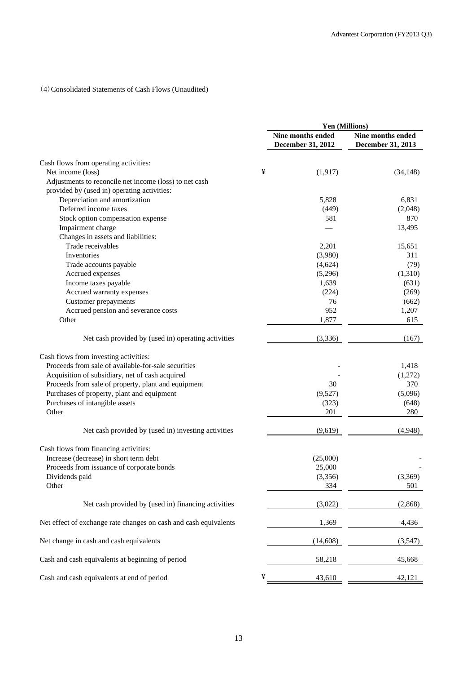### (4)Consolidated Statements of Cash Flows (Unaudited)

|                                                                  |   | Yen (Millions)    |                   |
|------------------------------------------------------------------|---|-------------------|-------------------|
|                                                                  |   | Nine months ended | Nine months ended |
|                                                                  |   | December 31, 2012 | December 31, 2013 |
| Cash flows from operating activities:                            |   |                   |                   |
| Net income (loss)                                                | ¥ | (1, 917)          | (34, 148)         |
| Adjustments to reconcile net income (loss) to net cash           |   |                   |                   |
| provided by (used in) operating activities:                      |   |                   |                   |
| Depreciation and amortization                                    |   | 5,828             | 6,831             |
| Deferred income taxes                                            |   | (449)             | (2,048)           |
| Stock option compensation expense                                |   | 581               | 870               |
| Impairment charge                                                |   |                   | 13,495            |
| Changes in assets and liabilities:                               |   |                   |                   |
| Trade receivables                                                |   | 2,201             | 15,651            |
| Inventories                                                      |   | (3,980)           | 311               |
| Trade accounts payable                                           |   | (4,624)           | (79)              |
| Accrued expenses                                                 |   | (5,296)           | (1,310)           |
|                                                                  |   |                   |                   |
| Income taxes payable                                             |   | 1,639             | (631)             |
| Accrued warranty expenses                                        |   | (224)             | (269)             |
| <b>Customer</b> prepayments                                      |   | 76                | (662)             |
| Accrued pension and severance costs                              |   | 952               | 1,207             |
| Other                                                            |   | 1,877             | 615               |
| Net cash provided by (used in) operating activities              |   | (3, 336)          | (167)             |
| Cash flows from investing activities:                            |   |                   |                   |
| Proceeds from sale of available-for-sale securities              |   |                   | 1,418             |
| Acquisition of subsidiary, net of cash acquired                  |   |                   | (1,272)           |
| Proceeds from sale of property, plant and equipment              |   | 30                | 370               |
| Purchases of property, plant and equipment                       |   | (9,527)           | (5,096)           |
|                                                                  |   |                   | (648)             |
| Purchases of intangible assets<br>Other                          |   | (323)<br>201      | 280               |
|                                                                  |   |                   |                   |
| Net cash provided by (used in) investing activities              |   | (9,619)           | (4,948)           |
| Cash flows from financing activities:                            |   |                   |                   |
| Increase (decrease) in short term debt                           |   | (25,000)          |                   |
| Proceeds from issuance of corporate bonds                        |   | 25,000            |                   |
| Dividends paid                                                   |   | (3,356)           | (3,369)           |
| Other                                                            |   | 334               | 501               |
| Net cash provided by (used in) financing activities              |   | (3,022)           | (2,868)           |
|                                                                  |   |                   |                   |
| Net effect of exchange rate changes on cash and cash equivalents |   | 1,369             | 4,436             |
| Net change in cash and cash equivalents                          |   | (14,608)          | (3,547)           |
| Cash and cash equivalents at beginning of period                 |   | 58,218            | 45,668            |
| Cash and cash equivalents at end of period                       | ¥ | 43,610            | 42,121            |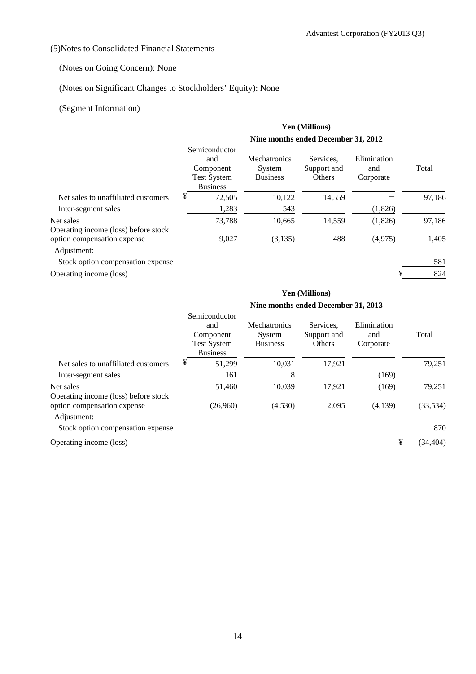## (5)Notes to Consolidated Financial Statements

## (Notes on Going Concern): None

## (Notes on Significant Changes to Stockholders' Equity): None

## (Segment Information)

|                                                   | <b>Yen (Millions)</b>                                                      |                                                  |                                    |                                 |        |  |  |  |
|---------------------------------------------------|----------------------------------------------------------------------------|--------------------------------------------------|------------------------------------|---------------------------------|--------|--|--|--|
|                                                   | Nine months ended December 31, 2012                                        |                                                  |                                    |                                 |        |  |  |  |
|                                                   | Semiconductor<br>and<br>Component<br><b>Test System</b><br><b>Business</b> | <b>Mechatronics</b><br>System<br><b>Business</b> | Services.<br>Support and<br>Others | Elimination<br>and<br>Corporate | Total  |  |  |  |
| Net sales to unaffiliated customers               | ¥<br>72,505                                                                | 10,122                                           | 14,559                             |                                 | 97,186 |  |  |  |
| Inter-segment sales                               | 1,283                                                                      | 543                                              |                                    | (1,826)                         |        |  |  |  |
| Net sales<br>Operating income (loss) before stock | 73,788                                                                     | 10,665                                           | 14,559                             | (1,826)                         | 97,186 |  |  |  |
| option compensation expense<br>Adjustment:        | 9,027                                                                      | (3,135)                                          | 488                                | (4,975)                         | 1,405  |  |  |  |
| Stock option compensation expense                 |                                                                            |                                                  |                                    |                                 | 581    |  |  |  |
| Operating income (loss)                           |                                                                            |                                                  |                                    | ¥                               | 824    |  |  |  |

|                                                                                    | <b>Yen (Millions)</b>                                                      |                                                  |                                    |                                 |           |  |  |
|------------------------------------------------------------------------------------|----------------------------------------------------------------------------|--------------------------------------------------|------------------------------------|---------------------------------|-----------|--|--|
|                                                                                    | Nine months ended December 31, 2013                                        |                                                  |                                    |                                 |           |  |  |
|                                                                                    | Semiconductor<br>and<br>Component<br><b>Test System</b><br><b>Business</b> | <b>Mechatronics</b><br>System<br><b>Business</b> | Services.<br>Support and<br>Others | Elimination<br>and<br>Corporate | Total     |  |  |
| Net sales to unaffiliated customers                                                | ¥<br>51,299                                                                | 10,031                                           | 17,921                             |                                 | 79,251    |  |  |
| Inter-segment sales                                                                | 161                                                                        | 8                                                |                                    | (169)                           |           |  |  |
| Net sales                                                                          | 51,460                                                                     | 10,039                                           | 17,921                             | (169)                           | 79,251    |  |  |
| Operating income (loss) before stock<br>option compensation expense<br>Adjustment: | (26,960)                                                                   | (4,530)                                          | 2,095                              | (4,139)                         | (33, 534) |  |  |
| Stock option compensation expense                                                  |                                                                            |                                                  |                                    |                                 | 870       |  |  |

Operating income (loss)  $\qquad \qquad \text{44.404}$